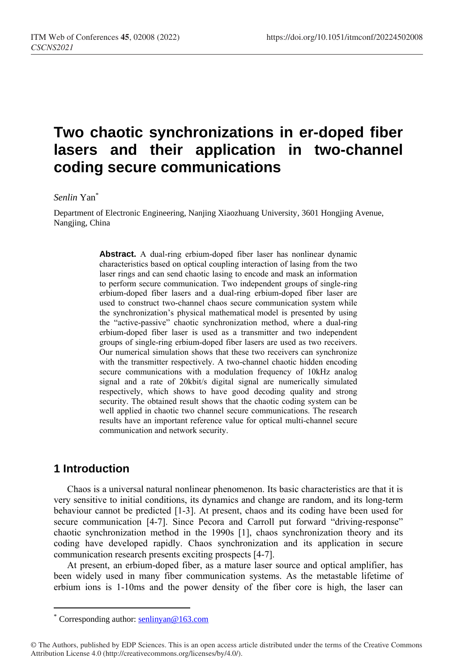# **Two chaotic synchronizations in er-doped fiber lasers and their application in two-channel coding secure communications**

#### *Senlin* Yan\*

Department of Electronic Engineering, Nanjing Xiaozhuang University, 3601 Hongjing Avenue, Nangjing, China

> **Abstract.** A dual-ring erbium-doped fiber laser has nonlinear dynamic characteristics based on optical coupling interaction of lasing from the two laser rings and can send chaotic lasing to encode and mask an information to perform secure communication. Two independent groups of single-ring erbium-doped fiber lasers and a dual-ring erbium-doped fiber laser are used to construct two-channel chaos secure communication system while the synchronization's physical mathematical model is presented by using the "active-passive" chaotic synchronization method, where a dual-ring erbium-doped fiber laser is used as a transmitter and two independent groups of single-ring erbium-doped fiber lasers are used as two receivers. Our numerical simulation shows that these two receivers can synchronize with the transmitter respectively. A two-channel chaotic hidden encoding secure communications with a modulation frequency of 10kHz analog signal and a rate of 20kbit/s digital signal are numerically simulated respectively, which shows to have good decoding quality and strong security. The obtained result shows that the chaotic coding system can be well applied in chaotic two channel secure communications. The research results have an important reference value for optical multi-channel secure communication and network security.

## **1 Introduction**

 $\overline{a}$ 

Chaos is a universal natural nonlinear phenomenon. Its basic characteristics are that it is very sensitive to initial conditions, its dynamics and change are random, and its long-term behaviour cannot be predicted [1-3]. At present, chaos and its coding have been used for secure communication [4-7]. Since Pecora and Carroll put forward "driving-response" chaotic synchronization method in the 1990s [1], chaos synchronization theory and its coding have developed rapidly. Chaos synchronization and its application in secure communication research presents exciting prospects [4-7].

At present, an erbium-doped fiber, as a mature laser source and optical amplifier, has been widely used in many fiber communication systems. As the metastable lifetime of erbium ions is 1-10ms and the power density of the fiber core is high, the laser can

Corresponding author: [senlinyan@163.com](mailto:senlinyan@163.com)

<sup>©</sup> The Authors, published by EDP Sciences. This is an open access article distributed under the terms of the Creative Commons Attribution License 4.0 (http://creativecommons.org/licenses/by/4.0/).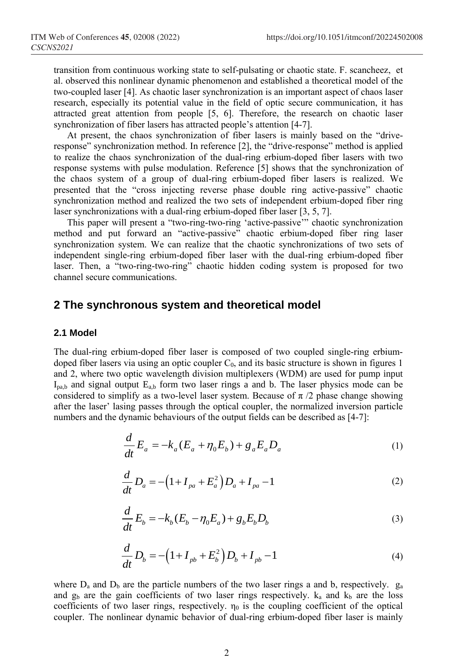transition from continuous working state to self-pulsating or chaotic state. F. scancheez, et al. observed this nonlinear dynamic phenomenon and established a theoretical model of the two-coupled laser [4]. As chaotic laser synchronization is an important aspect of chaos laser research, especially its potential value in the field of optic secure communication, it has attracted great attention from people [5, 6]. Therefore, the research on chaotic laser synchronization of fiber lasers has attracted people's attention [4-7].

At present, the chaos synchronization of fiber lasers is mainly based on the "driveresponse" synchronization method. In reference [2], the "drive-response" method is applied to realize the chaos synchronization of the dual-ring erbium-doped fiber lasers with two response systems with pulse modulation. Reference [5] shows that the synchronization of the chaos system of a group of dual-ring erbium-doped fiber lasers is realized. We presented that the "cross injecting reverse phase double ring active-passive" chaotic synchronization method and realized the two sets of independent erbium-doped fiber ring laser synchronizations with a dual-ring erbium-doped fiber laser [3, 5, 7].

This paper will present a "two-ring-two-ring 'active-passive'" chaotic synchronization method and put forward an "active-passive" chaotic erbium-doped fiber ring laser synchronization system. We can realize that the chaotic synchronizations of two sets of independent single-ring erbium-doped fiber laser with the dual-ring erbium-doped fiber laser. Then, a "two-ring-two-ring" chaotic hidden coding system is proposed for two channel secure communications.

## **2 The synchronous system and theoretical model**

#### **2.1 Model**

The dual-ring erbium-doped fiber laser is composed of two coupled single-ring erbiumdoped fiber lasers via using an optic coupler  $C_0$ , and its basic structure is shown in figures 1 and 2, where two optic wavelength division multiplexers (WDM) are used for pump input  $I_{p a,b}$  and signal output  $E_{a,b}$  form two laser rings a and b. The laser physics mode can be considered to simplify as a two-level laser system. Because of  $\pi/2$  phase change showing after the laser' lasing passes through the optical coupler, the normalized inversion particle numbers and the dynamic behaviours of the output fields can be described as [4-7]:

$$
\frac{d}{dt}E_a = -k_a(E_a + \eta_0 E_b) + g_a E_a D_a \tag{1}
$$

$$
\frac{d}{dt}D_a = -\left(1 + I_{pa} + E_a^2\right)D_a + I_{pa} - 1\tag{2}
$$

$$
\frac{d}{dt}E_b = -k_b(E_b - \eta_0 E_a) + g_b E_b D_b \tag{3}
$$

$$
\frac{d}{dt}D_b = -\left(1 + I_{pb} + E_b^2\right)D_b + I_{pb} - 1\tag{4}
$$

where  $D_a$  and  $D_b$  are the particle numbers of the two laser rings a and b, respectively.  $g_a$ and  $g_b$  are the gain coefficients of two laser rings respectively.  $k_a$  and  $k_b$  are the loss coefficients of two laser rings, respectively.  $n_0$  is the coupling coefficient of the optical coupler. The nonlinear dynamic behavior of dual-ring erbium-doped fiber laser is mainly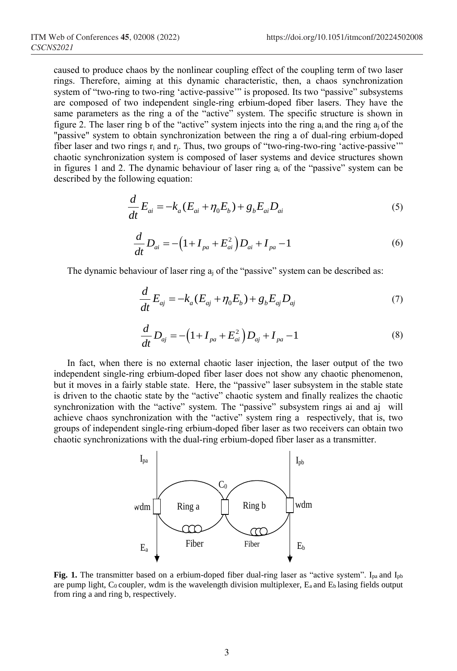caused to produce chaos by the nonlinear coupling effect of the coupling term of two laser rings. Therefore, aiming at this dynamic characteristic, then, a chaos synchronization system of "two-ring to two-ring 'active-passive'" is proposed. Its two "passive" subsystems are composed of two independent single-ring erbium-doped fiber lasers. They have the same parameters as the ring a of the "active" system. The specific structure is shown in figure 2. The laser ring b of the "active" system injects into the ring  $a_i$  and the ring  $a_i$  of the "passive" system to obtain synchronization between the ring a of dual-ring erbium-doped fiber laser and two rings  $r_i$  and  $r_j$ . Thus, two groups of "two-ring-two-ring 'active-passive'" chaotic synchronization system is composed of laser systems and device structures shown in figures 1 and 2. The dynamic behaviour of laser ring  $a_i$  of the "passive" system can be described by the following equation:

$$
\frac{d}{dt}E_{ai} = -k_a(E_{ai} + \eta_0 E_b) + g_b E_{ai} D_{ai}
$$
\n(5)

$$
\frac{d}{dt}D_{ai} = -\left(1 + I_{pa} + E_{ai}^{2}\right)D_{ai} + I_{pa} - 1\tag{6}
$$

The dynamic behaviour of laser ring  $a_i$  of the "passive" system can be described as:

$$
\frac{d}{dt}E_{aj} = -k_a(E_{aj} + \eta_0 E_b) + g_b E_{aj} D_{aj}
$$
\n(7)

$$
\frac{d}{dt}D_{aj} = -\left(1 + I_{pa} + E_{ai}^{2}\right)D_{aj} + I_{pa} - 1
$$
\n(8)

In fact, when there is no external chaotic laser injection, the laser output of the two independent single-ring erbium-doped fiber laser does not show any chaotic phenomenon, but it moves in a fairly stable state. Here, the "passive" laser subsystem in the stable state is driven to the chaotic state by the "active" chaotic system and finally realizes the chaotic synchronization with the "active" system. The "passive" subsystem rings ai and aj will achieve chaos synchronization with the "active" system ring a respectively, that is, two groups of independent single-ring erbium-doped fiber laser as two receivers can obtain two chaotic synchronizations with the dual-ring erbium-doped fiber laser as a transmitter.



**Fig. 1.** The transmitter based on a erbium-doped fiber dual-ring laser as "active system". I<sub>pa</sub> and I<sub>pb</sub> are pump light,  $C_0$  coupler, wdm is the wavelength division multiplexer,  $E_a$  and  $E_b$  lasing fields output from ring a and ring b, respectively.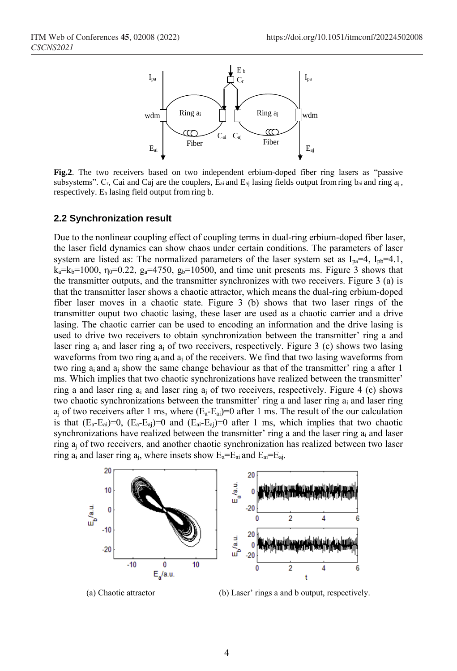

**Fig.2**. The two receivers based on two independent erbium-doped fiber ring lasers as "passive subsystems". Cr, Cai and Caj are the couplers,  $E_{ai}$  and  $E_{aj}$  lasing fields output from ring  $b_{ai}$  and ring  $a_j$ , respectively.  $E_b$  lasing field output from ring b.

#### **2.2 Synchronization result**

Due to the nonlinear coupling effect of coupling terms in dual-ring erbium-doped fiber laser, the laser field dynamics can show chaos under certain conditions. The parameters of laser system are listed as: The normalized parameters of the laser system set as  $I_{pa}=4$ ,  $I_{pb}=4.1$ ,  $k_a=k_b=1000$ ,  $\eta_0=0.22$ ,  $g_a=4750$ ,  $g_b=10500$ , and time unit presents ms. Figure 3 shows that the transmitter outputs, and the transmitter synchronizes with two receivers. Figure 3 (a) is that the transmitter laser shows a chaotic attractor, which means the dual-ring erbium-doped fiber laser moves in a chaotic state. Figure 3 (b) shows that two laser rings of the transmitter ouput two chaotic lasing, these laser are used as a chaotic carrier and a drive lasing. The chaotic carrier can be used to encoding an information and the drive lasing is used to drive two receivers to obtain synchronization between the transmitter' ring a and laser ring  $a_i$  and laser ring  $a_i$  of two receivers, respectively. Figure 3 (c) shows two lasing waveforms from two ring  $a_i$  and  $a_j$  of the receivers. We find that two lasing waveforms from two ring  $a_i$  and  $a_j$  show the same change behaviour as that of the transmitter' ring a after 1 ms. Which implies that two chaotic synchronizations have realized between the transmitter' ring a and laser ring  $a_i$  and laser ring  $a_i$  of two receivers, respectively. Figure 4 (c) shows two chaotic synchronizations between the transmitter' ring a and laser ring  $a_i$  and laser ring  $a_i$  of two receivers after 1 ms, where  $(E_a - E_a) = 0$  after 1 ms. The result of the our calculation is that  $(E_a-E_a)=0$ ,  $(E_a-E_a)=0$  and  $(E_a-E_a)=0$  after 1 ms, which implies that two chaotic synchronizations have realized between the transmitter' ring a and the laser ring  $a_i$  and laser ring a<sup>j</sup> of two receivers, and another chaotic synchronization has realized between two laser ring  $a_i$  and laser ring  $a_i$ , where insets show  $E_a=E_a$  and  $E_a=E_a$ .



(a) Chaotic attractor (b) Laser' rings a and b output, respectively.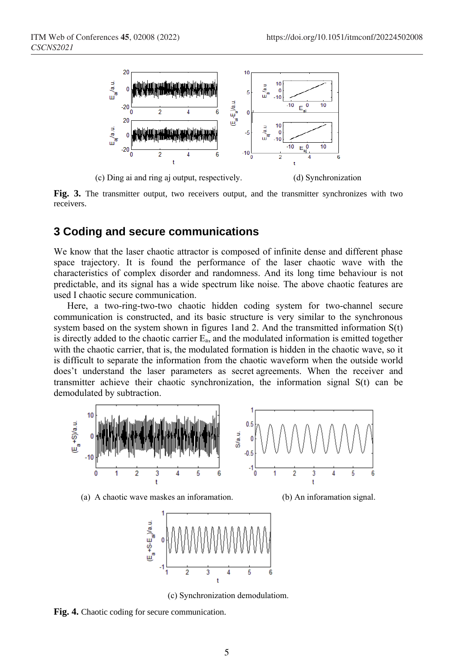

(c) Ding ai and ring aj output, respectively. (d) Synchronization

**Fig. 3.** The transmitter output, two receivers output, and the transmitter synchronizes with two receivers.

### **3 Coding and secure communications**

We know that the laser chaotic attractor is composed of infinite dense and different phase space trajectory. It is found the performance of the laser chaotic wave with the characteristics of complex disorder and randomness. And its long time behaviour is not predictable, and its signal has a wide spectrum like noise. The above chaotic features are used I chaotic secure communication.

Here, a two-ring-two-two chaotic hidden coding system for two-channel secure communication is constructed, and its basic structure is very similar to the synchronous system based on the system shown in figures 1and 2. And the transmitted information S(t) is directly added to the chaotic carrier Ea, and the modulated information is emitted together with the chaotic carrier, that is, the modulated formation is hidden in the chaotic wave, so it is difficult to separate the information from the chaotic waveform when the outside world does't understand the laser parameters as [secret](javascript:;) [agreements](javascript:;). When the receiver and transmitter achieve their chaotic synchronization, the information signal S(t) can be demodulated by subtraction.



(a) A chaotic wave maskes an inforamation. (b) An inforamation signal.



(c) Synchronization demodulatiom.

**Fig. 4.** Chaotic coding for secure communication.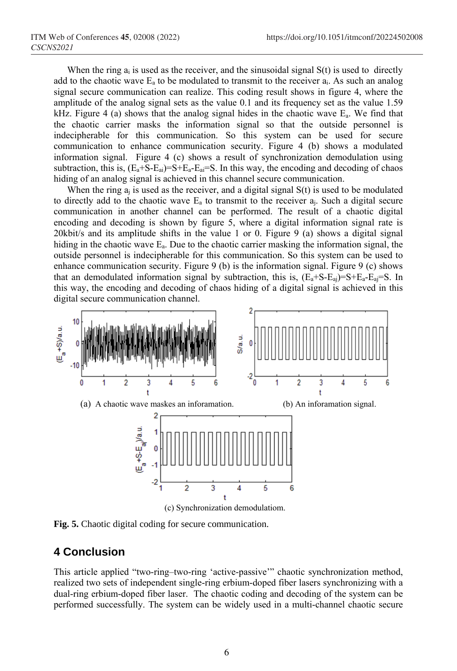When the ring  $a_i$  is used as the receiver, and the sinusoidal signal  $S(t)$  is used to directly add to the chaotic wave  $E_a$  to be modulated to transmit to the receiver  $a_i$ . As such an analog signal secure communication can realize. This coding result shows in figure 4, where the amplitude of the analog signal sets as the value 0.1 and its frequency set as the value 1.59 kHz. Figure 4 (a) shows that the analog signal hides in the chaotic wave  $E_a$ . We find that the chaotic carrier masks the information signal so that the outside personnel is indecipherable for this communication. So this system can be used for secure communication to enhance communication security. Figure 4 (b) shows a modulated information signal. Figure 4 (c) shows a result of synchronization demodulation using subtraction, this is,  $(E_a + S - E_a) = S + E_a - E_a = S$ . In this way, the encoding and decoding of chaos hiding of an analog signal is achieved in this channel secure communication.

When the ring  $a_i$  is used as the receiver, and a digital signal  $S(t)$  is used to be modulated to directly add to the chaotic wave  $E_a$  to transmit to the receiver  $a_i$ . Such a digital secure communication in another channel can be performed. The result of a chaotic digital encoding and decoding is shown by figure 5, where a digital information signal rate is 20kbit/s and its amplitude shifts in the value 1 or 0. Figure 9 (a) shows a digital signal hiding in the chaotic wave  $E_a$ . Due to the chaotic carrier masking the information signal, the outside personnel is indecipherable for this communication. So this system can be used to enhance communication security. Figure 9 (b) is the information signal. Figure 9 (c) shows that an demodulated information signal by subtraction, this is,  $(E_a + S - E_a) = S + E_a - E_a = S$ . In this way, the encoding and decoding of chaos hiding of a digital signal is achieved in this digital secure communication channel.



**Fig. 5.** Chaotic digital coding for secure communication.

# **4 Conclusion**

This article applied "two-ring–two-ring 'active-passive'" chaotic synchronization method, realized two sets of independent single-ring erbium-doped fiber lasers synchronizing with a dual-ring erbium-doped fiber laser. The chaotic coding and decoding of the system can be performed successfully. The system can be widely used in a multi-channel chaotic secure